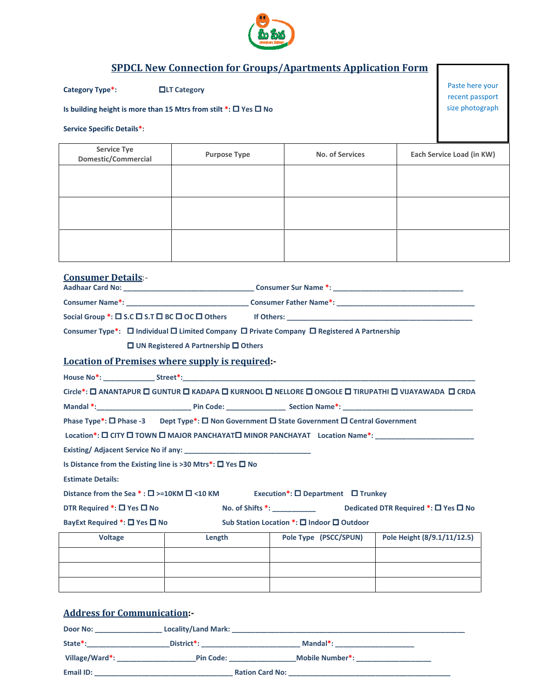

## SPDCL New Connection for Groups/Apartments Application Form

Category Type\*: 
<br>  $\Box$ LT Category

## Is building height is more than 15 Mtrs from stilt LT stilt \*: Yes No

Service Specific Details\*:

| <b>Service Tye</b><br>Domestic/Commercial | <b>Purpose Type</b> | No. of Services | Each Service Load (in KW) |
|-------------------------------------------|---------------------|-----------------|---------------------------|
|                                           |                     |                 |                           |
|                                           |                     |                 |                           |
|                                           |                     |                 |                           |
|                                           |                     |                 |                           |
|                                           |                     |                 |                           |
|                                           |                     |                 |                           |

| <b>Consumer Details:-</b>                                                                                       |  |
|-----------------------------------------------------------------------------------------------------------------|--|
|                                                                                                                 |  |
|                                                                                                                 |  |
| Social Group *: $\square$ S.C $\square$ S.T $\square$ BC $\square$ OC $\square$ Others                          |  |
| Consumer Type*: $\Box$ Individual $\Box$ Limited Company $\Box$ Private Company $\Box$ Registered A Partnership |  |
| $\Box$ UN Registered A Partnership $\Box$ Others                                                                |  |
| <b>Location of Premises where supply is required:-</b>                                                          |  |
|                                                                                                                 |  |

Circle\*: **O ANANTAPUR O GUNTUR O KADAPA O KURNOOL O NELLORE O ONGOLE O TIRUPATHI O VIJAYAWADA O CRDA**  $\overline{\phantom{a}}$  , we can assume that the contract of  $\overline{\phantom{a}}$ 

Mandal \*:\_\_\_\_\_\_\_\_\_\_\_\_\_\_\_\_\_\_\_\_\_\_\_\_ Pin Code: \_\_\_\_\_\_\_\_\_ \_\_\_\_\_\_\_\_\_\_\_\_\_\_\_ Section Name\*: \_\_\_\_\_\_\_\_\_\_\_\_\_\_\_\_\_\_\_\_\_

Phase Type\*: □ Phase -3 Dept Type\*: □ Non Government □ State Government □ Central Government

Location\*:  $\square$  CITY  $\square$  TOWN  $\square$  MAJOR PANCHAYAT $\square$  MINOR PANCHAYAT Location Name\*: \_\_\_\_\_\_\_\_\_

Existing/ Adjacent Service No if any: \_\_\_\_\_\_ \_\_\_\_\_\_\_\_\_\_\_\_\_\_\_\_\_\_\_\_\_\_\_\_\_\_\_\_\_\_\_\_

Is Distance from the Existing line is >30 Mtrs\*:  $\Box$  Yes  $\Box$  No

Estimate Details:

Distance from the Sea  $*:\square$  >=10KM  $\square$  <10 KM Execution\*:  $\square$  Department  $\square$  Trunkey

DTR Required  $\overline{\bullet}$ :  $\Box$  Yes  $\Box$  No No. of Shifts  $^*$ : \_\_\_\_\_\_\_\_\_\_\_\_\_\_\_\_\_\_\_ Dedicated DTR Required  $^*$ :  $\Box$  Yes  $\Box$  No

BayExt Required \*: □ Yes □ No

Sub Station Location \*: □ Indoor □ Outdoor

| <b>Voltage</b> | Length | Pole Type (PSCC/SPUN) | Pole Height (8/9.1/11/12.5) |
|----------------|--------|-----------------------|-----------------------------|
|                |        |                       |                             |
|                |        |                       |                             |
|                |        |                       |                             |

## Address for Communication:-

| Door No:       | <b>Locality/Land Mark:</b> |                        |  |
|----------------|----------------------------|------------------------|--|
| State*:        | District <sup>*</sup> :    | Mandal*:               |  |
| Village/Ward*: | <b>Pin Code:</b>           | <b>Mobile Number*:</b> |  |
| Email ID:      | <b>Ration Card No:</b>     |                        |  |

Paste here your recent passport size photograph

\_\_\_\_\_\_\_\_\_\_\_\_\_\_\_\_\_\_